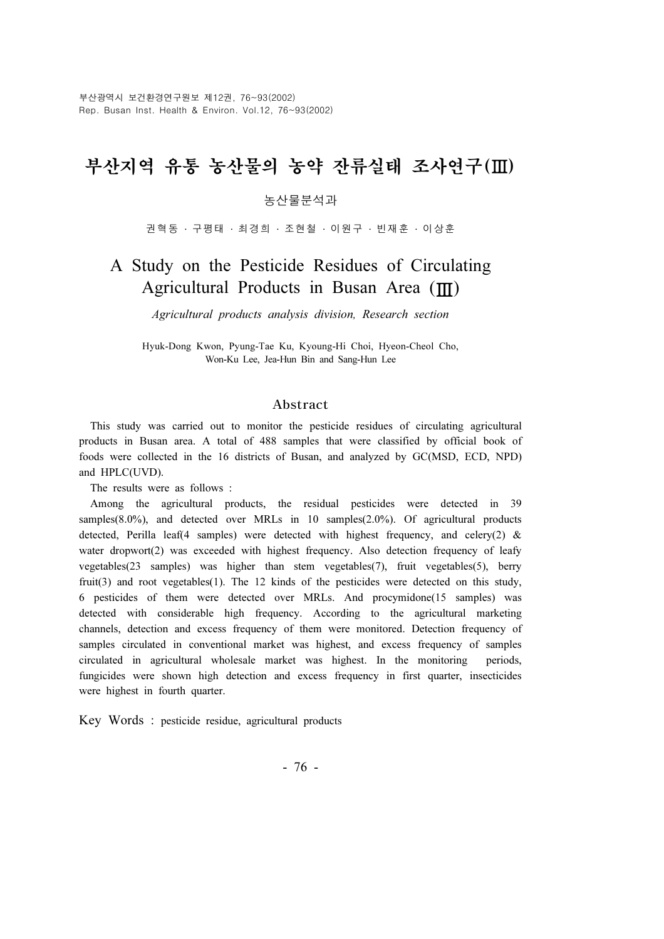# 부산지역 유통 농산물의 농약 잔류실태 조사연구(Ⅲ)

#### 농산물분석과

권혁동 · 구평태 · 최경희 · 조현철 · 이원구 · 빈재훈 · 이상훈

# A Study on the Pesticide Residues of Circulating Agricultural Products in Busan Area (Ⅲ)

Agricultural products analysis division, Research section

Hyuk-Dong Kwon, Pyung-Tae Ku, Kyoung-Hi Choi, Hyeon-Cheol Cho, Won-Ku Lee, Jea-Hun Bin and Sang-Hun Lee

#### Abstract

This study was carried out to monitor the pesticide residues of circulating agricultural products in Busan area. A total of 488 samples that were classified by official book of foods were collected in the 16 districts of Busan, and analyzed by GC(MSD, ECD, NPD) and HPLC(UVD).

The results were as follows :

Among the agricultural products, the residual pesticides were detected in 39 samples(8.0%), and detected over MRLs in 10 samples(2.0%). Of agricultural products detected, Perilla leaf(4 samples) were detected with highest frequency, and celery(2)  $\&$ water dropwort(2) was exceeded with highest frequency. Also detection frequency of leafy vegetables(23 samples) was higher than stem vegetables(7), fruit vegetables(5), berry fruit(3) and root vegetables(1). The 12 kinds of the pesticides were detected on this study, 6 pesticides of them were detected over MRLs. And procymidone(15 samples) was detected with considerable high frequency. According to the agricultural marketing channels, detection and excess frequency of them were monitored. Detection frequency of samples circulated in conventional market was highest, and excess frequency of samples circulated in agricultural wholesale market was highest. In the monitoring periods, fungicides were shown high detection and excess frequency in first quarter, insecticides were highest in fourth quarter.

Key Words : pesticide residue, agricultural products

- 76 -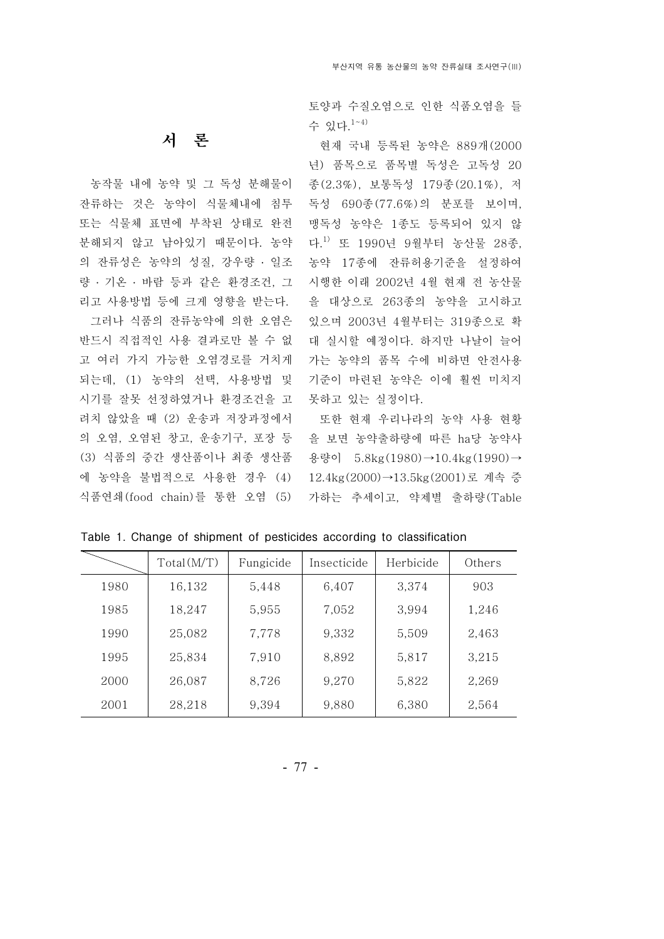토양과 수질오염으로 인한 식품오염을 들 수 있다. 1~4)

현재 국내 등록된 농약은 889개 (2000 년) 품목으로 품목별 독성은 고독성 20 종 (2.3%), 보통독성 179종 (20.1%), 저 독성 690종(77.6%)의 분포를 보이며, 맹독성 농약은 1종도 등록되어 있지 않 농약 17종에 잔류허용기준을 설정하여 을 대상으로 263종의 농약을 고시하고 있으며 2003년 4월부터는 319종으로 확 대 실시할 예정이다. 하지만 나날이 늘어 가는 농약의 품목 수에 비하면 안전사용 기준이 마련된 농약은 이에 훨씬 미치지 못하고 있는 실정이다.

또한 현재 우리나라의 농약 사용 현황 을 보면 농약출하량에 따른 ha당 농약사 용량이 5.8kg(1980)→10.4kg(1990)→ 12.4kg(2000)→13.5kg(2001)로 계속 증 가하는 추세이고, 약제별 출하량 (Table

 $Total(M/T)$  Fungicide Insecticide Herbicide Others 1980 | 16,132 | 5,448 | 6,407 | 3,374 | 903 1985 | 18,247 | 5,955 | 7,052 | 3,994 | 1,246 1990 | 25,082 | 7,778 | 9,332 | 5,509 | 2,463 1995 | 25,834 | 7,910 | 8,892 | 5,817 | 3,215 2000 | 26,087 | 8,726 | 9,270 | 5,822 | 2,269 2001 28,218 9,394 9,880 6,380 2,564

Table 1. Change of shipment of pesticides according to classification

### 서 론

농작물 내에 농약 및 그 독성 분해물이 잔류하는 것은 농약이 식물체내에 침투 또는 식물체 표면에 부착된 상태로 완전 분해되지 않고 남아있기 때문이다. 농약 다.<sup>1)</sup> 또 1990년 9월부터 농산물 28종, 의 잔류성은 농약의 성질, 강우량 · 일조 량 · 기온 · 바람 등과 같은 환경조건, 그 시행한 이래 2002년 4월 현재 전 농산물 리고 사용방법 등에 크게 영향을 받는다.

그러나 식품의 잔류농약에 의한 오염은 반드시 직접적인 사용 결과로만 볼 수 없 고 여러 가지 가능한 오염경로를 거치게 되는데, (1) 농약의 선택, 사용방법 및 시기를 잘못 선정하였거나 환경조건을 고 려치 않았을 때 (2) 운송과 저장과정에서 의 오염, 오염된 창고, 운송기구, 포장 등 (3) 식품의 중간 생산품이나 최종 생산품 에 농약을 불법적으로사용한 경우 (4) 식품연쇄 (food chain)를 통한 오염 (5)

- 77 -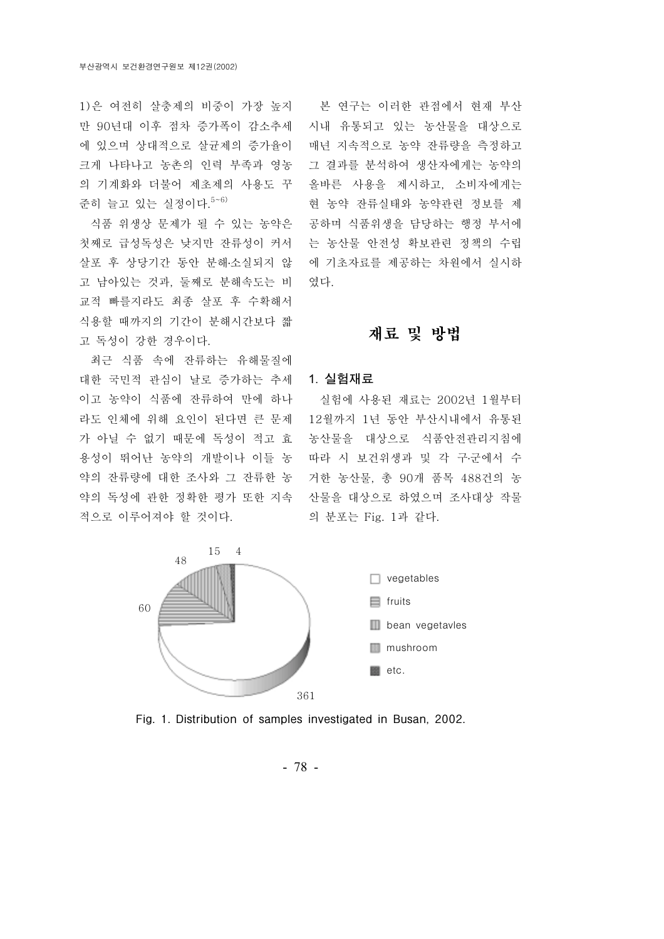1)은 여전히 살충제의 비중이 가장 높지 본 연구는 이러한 관점에서 현재 부산 만 90년대 이후 점차 증가폭이 감소추세 에 있으며 상대적으로 살균제의 증가율이 크게 나타나고 농촌의 인력 부족과 영농 의 기계화와 더불어 제초제의 사용도 꾸 준히 늘고 있는 실정이다. 5~6)

식품 위생상 문제가 될 수 있는 농약은 첫째로급성독성은 낮지만 잔류성이 커서 살포 후 상당기간 동안 분해 소실되지 않 ․ 고 남아있는 것과, 둘째로 분해속도는 비 교적 빠를지라도 최종 살포 후 수확해서 식용할 때까지의 기간이 분해시간보다 짧 고 독성이 강한 경우이다.

최근 식품 속에 잔류하는 유해물질에 대한 국민적 관심이 날로증가하는 추세 이고 농약이 식품에 잔류하여 만에 하나 라도 인체에 위해 요인이 된다면 큰 문제 가 아닐 수 없기 때문에 독성이 적고 효 용성이 뛰어난 농약의 개발이나 이들 농 적으로이루어져야 할 것이다.

시내 유통되고 있는 농산물을 대상으로 매년 지속적으로 농약 잔류량을 측정하고 그 결과를 분석하여 생산자에게는 농약의 올바른 사용을 제시하고, 소비자에게는 현 농약 잔류실태와 농약관련 정보를 제 공하며 식품위생을 담당하는 행정 부서에 는 농산물 안전성 확보관련 정책의 수립 에 기초자료를 제공하는 차원에서 실시하 였다.

# 재료 및 방법

#### 1. 실험재료

약의 잔류량에 대한 조사와 그 잔류한 농 거한 농산물, 총 90개 품목 488건의 농 약의 독성에 관한 정확한 평가 또한 지속 산물을 대상으로하였으며 조사대상 작물 실험에 사용된 재료는 2002년 1월부터 12월까지 1년 동안 부산시내에서 유통된 농산물을 대상으로 식품안전관리지침에 따라 시 보건위생과 및 각 구·군에서 수 의 분포는 Fig. 1과 같다.



Fig. 1. Distribution of samples investigated in Busan, 2002.

- 78 -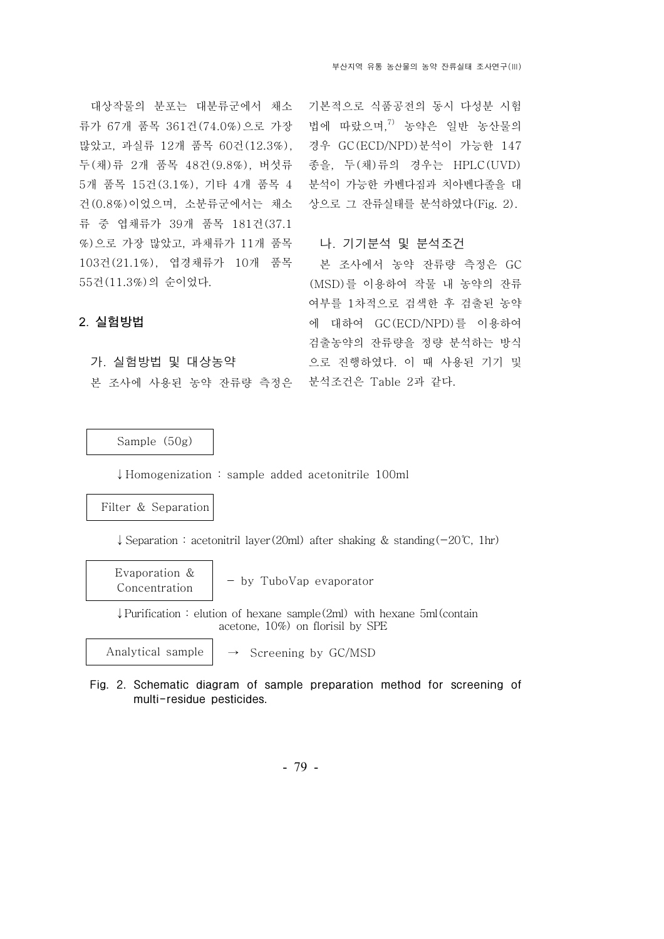대상작물의 분포는 대분류군에서 채소 류가 67개 품목 361건 (74.0%)으로 가장 많았고, 과실류 12개 품목 60건 (12.3%), 두 (채)류 2개 품목 48건 (9.8%), 버섯류 5개 품목 15건 (3.1%), 기타 4개 품목 4 건 (0.8%) 이었으며, 소분류군에서는 채소 류 중 엽채류가 39개 품목 181건 (37.1 %) 으로 가장 많았고, 과채류가 11개 품목 103건 (21.1%), 엽경채류가 10개 품목 55건 (11.3%)의 순이었다.

기본적으로식품공전의 동시 다성분 시험 법에 따랐으며, 7) 농약은 일반 농산물의 경우 GC(ECD/NPD)분석이 가능한 147 종을, 두 (채)류의 경우는 HPLC(UVD) 분석이 가능한 카벤다짐과 치아벤다졸을 대 상으로그 잔류실태를 분석하였다(Fig. 2).

#### 나. 기기분석 및 분석조건

본 조사에서 농약 잔류량 측정은 GC (MSD)를 이용하여 작물 내 농약의 잔류 여부를 1차적으로 검색한 후 검출된 농약 에 대하여 GC(ECD/NPD)를 이용하여 검출농약의 잔류량을 정량 분석하는 방식 으로 진행하였다. 이 때 사용된 기기 및

# 가 실험방법 및 대상농약 .

2. 실험방법

본 조사에 사용된 농약 잔류량 측정은 분석조건은 Table 2과 같다.

Sample (50g)

↓Homogenization : sample added acetonitrile 100ml

#### Filter & Separation

↓ Separation : acetonitril layer(20ml) after shaking & standing(-20°C, 1hr)

Evaporation & Concentration - by TuboVap evaporator

 $\downarrow$  Purification : elution of hexane sample(2ml) with hexane 5ml (contain acetone, 10%) on florisil by SPE

Analytical sample

 $\rightarrow$  Screening by GC/MSD

Fig. 2. Schematic diagram of sample preparation method for screening of multi-residue pesticides.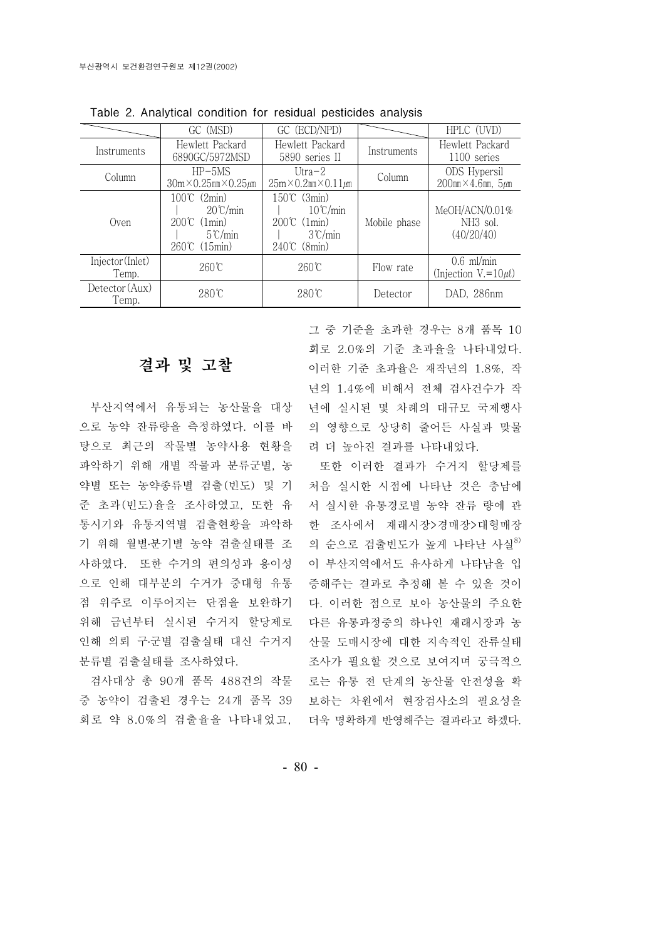|                           | GC (MSD)                                                                                                 | GC (ECD/NPD)                                                                                           |              | HPLC (UVD)                                           |
|---------------------------|----------------------------------------------------------------------------------------------------------|--------------------------------------------------------------------------------------------------------|--------------|------------------------------------------------------|
| Instruments               | Hewlett Packard<br>6890GC/5972MSD                                                                        | Hewlett Packard<br>5890 series II                                                                      | Instruments  | Hewlett Packard<br>1100 series                       |
| Column                    | $HP-5MS$<br>$30m \times 0.25mm \times 0.25 \mu m$                                                        | Utra $-2$<br>$25m \times 0.2mm \times 0.11 \mu m$                                                      | Column       | ODS Hypersil<br>$200$ mm $\times$ 4.6mm, $5 \mu$ m   |
| ()ven                     | 100℃ (2min)<br>$20^{\circ}$ C/min<br>$200^{\circ}$ (1 min)<br>$5^{\circ}$ C/min<br>$260^{\circ}$ (15min) | 150℃ (3min)<br>$10^{\circ}$ C/min<br>$200^{\circ}$ (1 min)<br>$3^{\circ}$ C/min<br>$240\degree$ (8min) | Mobile phase | MeOH/ACN/0.01%<br>NH <sub>3</sub> sol.<br>(40/20/40) |
| Injector (Inlet)<br>Temp. | 260℃                                                                                                     | $260^{\circ}$ C                                                                                        | Flow rate    | $0.6$ ml/min<br>(Injection $V = 10 \mu l$ )          |
| Detector (Aux)<br>Temp.   | $280^{\circ}$ C                                                                                          | $280^\circ$ C                                                                                          | Detector     | DAD, 286nm                                           |

Table 2. Analytical condition for residual pesticides analysis

# 결과 및 고찰

부산지역에서 유통되는 농산물을 대상 으로 농약 잔류량을 측정하였다. 이를 바 탕으로최근의 작물별 농약사용 현황을 파악하기 위해 개별 작물과 분류군별, 농 약별 또는 농약종류별 검출(빈도) 및 기 준 초과(빈도) 율을 조사하였고, 또한 유 통시기와 유통지역별 검출현황을 파악하 기 위해 월별·분기별 농약 검출실태를 조 사하였다. 또한 수거의 편의성과 용이성 점 위주로이루어지는 단점을 보완하기 위해 금년부터 실시된 수거지 할당제로 분류별 검출실태를 조사하였다.

중 농약이 검출된 경우는 24개 품목 39 회로 약 8.0%의 검출율을 나타내었고, 더욱 명확하게 반영해주는 결과라고 하겠다.

그 중 기준을 초과한 경우는 8개 품목 10 회로 2.0%의 기준 초과율을 나타내었다. 이러한 기준 초과율은 재작년의 1.8%, 작 년의 1.4%에 비해서 전체 검사건수가 작 년에 실시된 몇 차례의 대규모 국제행사 의 영향으로 상당히 줄어든 사실과 맞물 려 더 높아진 결과를 나타내었다.

으로 인해 대부분의 수거가 중대형 유통 증해주는 결과로 추정해 볼 수 있을 것이 인해 의뢰 구·군별 검출실태 대신 수거지 산물 도매시장에 대한 지속적인 잔류실태 검사대상 총 90개 품목 488건의 작물 로는 유통 전 단계의 농산물 안전성을 확 또한 이러한 결과가 수거지 할당제를 처음 실시한 시점에 나타난 것은 충남에 서 실시한 유통경로별 농약 잔류 량에 관 한 조사에서 재래시장 >경매장 > 대형매장 의 순으로 검출빈도가 높게 나타난 사실<sup>8)</sup> 이 부산지역에서도 유사하게 나타남을 입 다. 이러한 점으로 보아 농산물의 주요한 다른 유통과정중의 하나인 재래시장과 농 조사가 필요할 것으로 보여지며 궁극적으 보하는 차원에서 현장검사소의 필요성을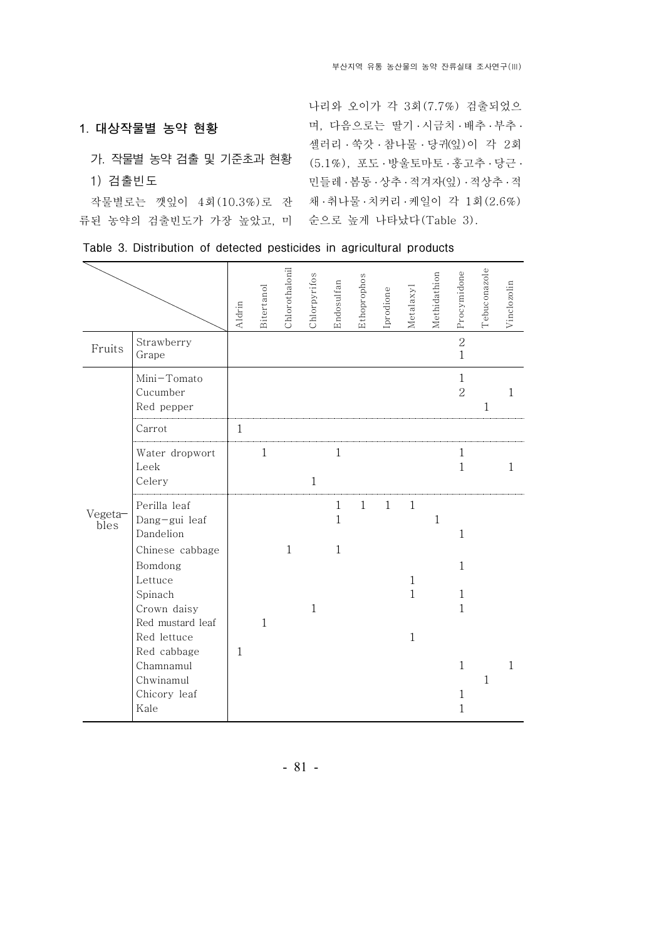#### 1. 대상작물별 농약 현황

### 가 작물별 농약 검출 및 기준초과 현황 .

1) 검출빈도

류된 농약의 검출빈도가 가장 높았고, 미 순으로 높게 나타났다(Table 3).

작물별로는 깻잎이 4회(10.3%)로 잔 채·취나물·치커리·케일이 각 1회(2.6%) 나리와 오이가 각 3 (7.7%) 회 검출되었으 며, 다음으로는 딸기 · 시금치 · 배추 · 부추 · 셀러리 · 쑥갓 · 참나물 · 당귀(잎)이 각 2회 (5.1%), 포도 ․ 방울토마토 ․ 홍고추 ․ 당근 ․ 민들레 ․ 봄동 ․ 상추 ․ 적겨자(잎) ․ 적상추 ․ 적

|  | Table 3. Distribution of detected pesticides in agricultural products |  |  |  |  |  |  |
|--|-----------------------------------------------------------------------|--|--|--|--|--|--|
|--|-----------------------------------------------------------------------|--|--|--|--|--|--|

|                 |                                                                                                                                                                                           | Aldrin       | Bitertanol   | Chlorothalonil | Chlorpyrifos | Endosulfan                        | Ethoprophos  | Iprodione    | Metalaxyl                                                    | Methidathion | Procymidone                                                      | Tebuconazole | Vinclozolin  |
|-----------------|-------------------------------------------------------------------------------------------------------------------------------------------------------------------------------------------|--------------|--------------|----------------|--------------|-----------------------------------|--------------|--------------|--------------------------------------------------------------|--------------|------------------------------------------------------------------|--------------|--------------|
| Fruits          | Strawberry<br>Grape                                                                                                                                                                       |              |              |                |              |                                   |              |              |                                                              |              | $\overline{2}$<br>$\mathbf{1}$                                   |              |              |
|                 | Mini-Tomato<br>Cucumber<br>Red pepper                                                                                                                                                     |              |              |                |              |                                   |              |              |                                                              |              | $\mathbf{1}$<br>$\overline{2}$                                   | $\mathbf{1}$ | $\mathbf{1}$ |
|                 | Carrot                                                                                                                                                                                    | $\mathbf{1}$ |              |                |              |                                   |              |              |                                                              |              |                                                                  |              |              |
|                 | Water dropwort<br>Leek<br>Celery                                                                                                                                                          |              | $\mathbf{1}$ |                | $\mathbf{1}$ | $\mathbf 1$                       |              |              |                                                              |              | 1<br>$\mathbf{1}$                                                |              | $\mathbf{1}$ |
| Vegeta-<br>bles | Perilla leaf<br>Dang-gui leaf<br>Dandelion<br>Chinese cabbage<br>Bomdong<br>Lettuce<br>Spinach<br>Crown daisy<br>Red mustard leaf<br>Red lettuce<br>Red cabbage<br>Chamnamul<br>Chwinamul | $\mathbf{1}$ | $\mathbf{1}$ | $\mathbf{1}$   | $\mathbf{1}$ | $\mathbf{1}$<br>$\mathbf{1}$<br>1 | $\mathbf{1}$ | $\mathbf{1}$ | $\mathbf{1}$<br>$\mathbf{1}$<br>$\mathbf{1}$<br>$\mathbf{1}$ | $\mathbf{1}$ | 1<br>$\mathbf{1}$<br>$\mathbf{1}$<br>$\mathbf{1}$<br>$\mathbf 1$ | 1            | 1            |
|                 | Chicory leaf<br>Kale                                                                                                                                                                      |              |              |                |              |                                   |              |              |                                                              |              | $\mathbf{1}$<br>1                                                |              |              |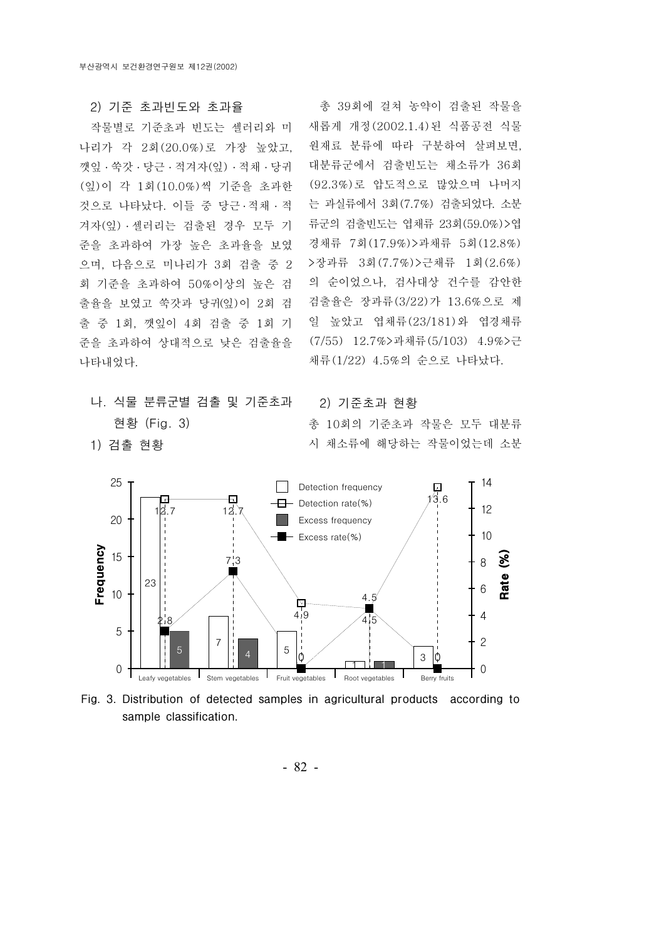#### 2) 기준 초과빈도와 초과율

작물별로기준초과 빈도는 셀러리와 미 나리가 각 2회(20.0%) 로 가장 높았고. 깻잎 ․ 쑥갓 ․ 당근 ․ 적겨자(잎) ․ 적채 ․ 당귀 (잎)이 각 1회(10.0%)씩 기준을 초과한 것으로 나타났다. 이들 중 당근 . 적채 · 적 겨자(잎) ․ 셀러리는 검출된 경우 모두 기 준을 초과하여 가장 높은 초과율을 보였 으며, 다음으로 미나리가 3회 검출 중 2 회 기준을 초과하여 50%이상의 높은 검 출율을 보였고 쑥갓과 당귀(잎)이 2회 검 출 중 1회, 깻잎이 4회 검출 중 1회 기 준을 초과하여 상대적으로 낮은 검출율을 나타내었다.

나. 식물 분류군별 검출 및 기준초과 현황 (Fig. 3)

1) 검출 현황

총 39회에 걸쳐 농약이 검출된 작물을 새롭게 개정(2002.1.4)된 식품공전 식물 원재료 분류에 따라 구분하여 살펴보면, 대분류군에서 검출빈도는 채소류가 36회 (92.3%)로 압도적으로 많았으며 나머지 는 과실류에서 3회 $(7.7\%)$  검출되었다. 소분 류군의 검출빈도는 엽채류 23회(59.0%)>엽 경채류 7회(17.9%) > 과채류 5회(12.8%) > 장과류 3회 (7.7%) > 근채류 1회 (2.6%) 의 순이었으나, 검사대상 건수를 감안한 검출율은 장과류 (3/22) 가 13.6%으로 제 일 높았고 엽채류 와 (23/181) 엽경채류 (7/55) 12.7%>과채류 (5/103) 4.9%>근 채류 (1/22) 4.5%의 순으로 나타났다.

2) 기준초과 현황 총 10회의 기준초과 작물은 모두 대분류 시 채소류에 해당하는 작물이었는데 소분

25 14 Detection frequency Б 13.6  $\Box$  Detection rate(%) 12 12.7 12. 20 Excess frequency 10 Excess rate(%) Frequency 15  $\mathcal{S}$ 7.3 8 Rate 23 6 10  $\overline{A}$ 囗  $4.9$ 4  $2.8$ 5 7  $\overline{2}$ 5  $5$  | | 4 |  $5$  |  $\circ$  $4$  0 0  $\frac{1}{2}$  30  $\ddot{0}$ 3 1 1 0 0 Leafy vegetables Stem vegetables Fruit vegetables Root vegetables Berry fruits

Fig. 3. Distribution of detected samples in agricultural products according to sample classification.

- 82 -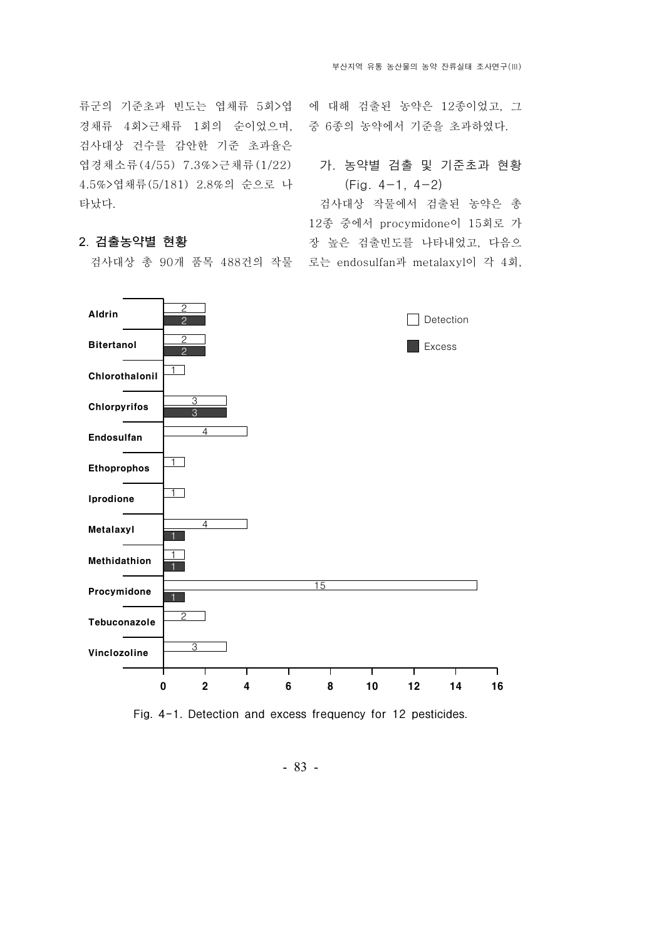류군의 기준초과 빈도는 엽채류 5회>엽 경채류 4회> 근채류 1회의 순이었으며, 검사대상 건수를 감안한 기준 초과율은 엽경채소류 (4/55) 7.3% > 근채류 (1/22) 4.5%>엽채류 (5/181) 2.8%의 순으로 나 타났다.

#### 2. 검출농약별 현황

검사대상 총 90개 품목 488건의 작물 로는 endosulfan과 metalaxyl이 각 4회,

에 대해 검출된 농약은 12종이었고, 그 중 6종의 농약에서 기준을 초과하였다.

### 가. 농약별 검출 및 기준초과 현황  $(Fig. 4-1, 4-2)$

검사대상 작물에서 검출된 농약은 총 12종 중에서 procymidone이 15회로 가 장 높은 검출빈도를 나타내었고, 다음으



Fig. 4-1. Detection and excess frequency for 12 pesticides.

- 83 -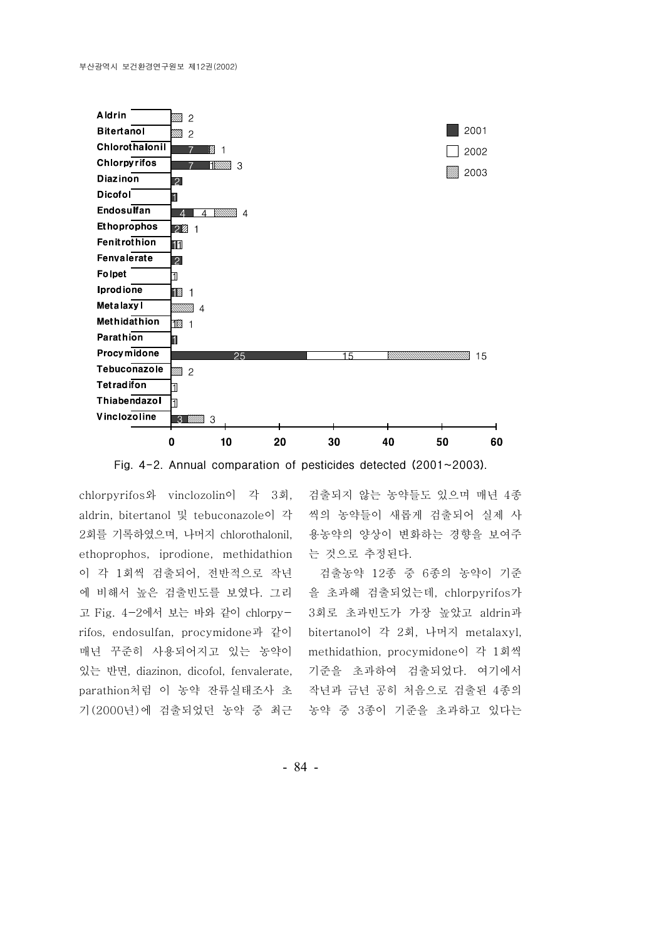



chlorpyrifos와 vinclozolin이 각 3회. aldrin, bitertanol 및 tebuconazole이 각 2회를 기록하였으며, 나머지 chlorothalonil, ethoprophos, iprodione, methidathion 이 각 1회씩 검출되어, 전반적으로 작년 에 비해서 높은 검출빈도를 보였다. 그리 고 Fig. 4-2에서 보는 바와 같이 chlorpyrifos, endosulfan, procymidone과 같이 매년 꾸준히 사용되어지고 있는 농약이 있는 반면, diazinon, dicofol, fenvalerate, parathion처럼 이 농약 잔류실태조사 초 기 (2000년)에 검출되었던 농약 중 최근 검출되지 않는 농약들도 있으며 매년 종4 씩의 농약들이 새롭게 검출되어 실제 사 용농약의 양상이 변화하는 경향을 보여주 는 것으로 추정된다.

검출농약 12종 중 6종의 농약이 기준 을 초과해 검출되었는데, chlorpyrifos가 3회로 초과빈도가 가장 높았고 aldrin과 bitertanol이 각 2회, 나머지 metalaxyl, methidathion, procymidone이 각 1회씩 기준을 초과하여 검출되었다. 여기에서 작년과 금년 공히 처음으로 검출된 4종의 농약 중 3종이 기준을 초과하고 있다는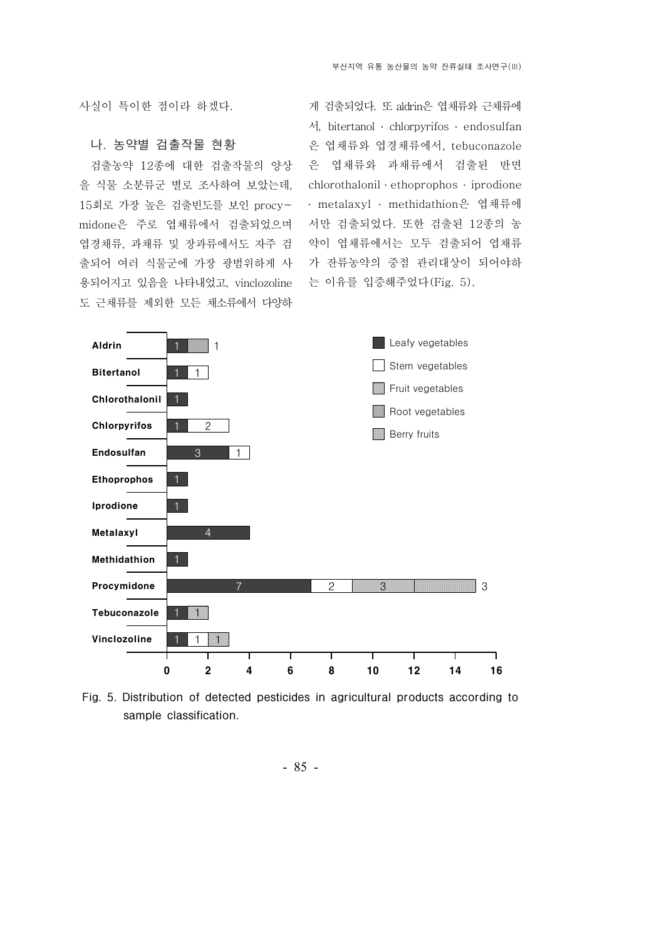사실이 특이한 점이라 하겠다.

#### 나 농약별 검출작물 현황 .

검출농약 12종에 대한 검출작물의 양상 을 식물 소분류군 별로조사하여 보았는데, 15회로 가장 높은 검출빈도를 보인 procymidone은 주로 엽채류에서 검출되었으며 엽경채류, 과채류 및 장과류에서도 자주 검 출되어 여러 식물군에 가장 광범위하게 사 용되어지고 있음을 나타내었고, vinclozoline 도 근채류를 제외한 모든 채소류에서 다양하

게 검출되었다. 또 aldrin은 엽채류와 근채류에 서, bitertanol ․ chlorpyrifos ․ endosulfan 은 엽채류와 엽경채류에서, tebuconazole 은 엽채류와 과채류에서 검출된 반면 chlorothalonil · ethoprophos · iprodione • metalaxyl · methidathion은 엽채류에 서만 검출되었다. 또한 검출된 12종의 농 약이 엽채류에서는 모두 검출되어 엽채류 가 잔류농약의 중점 관리대상이 되어야하 는 이유를 입증해주었다(Fig. 5).



Fig. 5. Distribution of detected pesticides in agricultural products according to sample classification.

- 85 -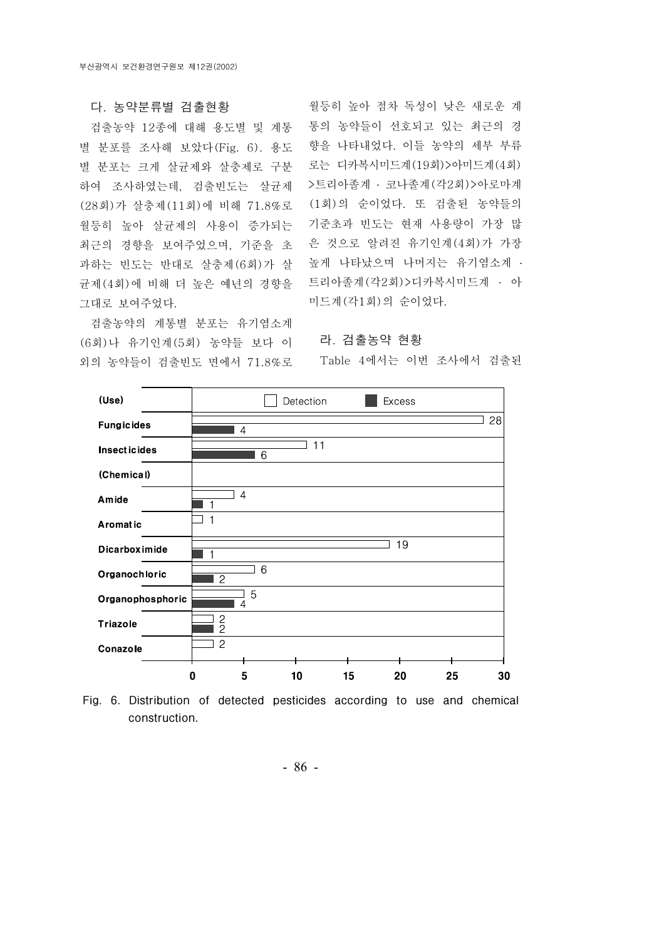#### 다 농약분류별 검출현황 .

검출농약 12종에 대해 용도별 및 계통 별 분포를 조사해 보았다 (Fig. 6). 용도 별 분포는 크게 살균제와 살충제로 구분 하여 조사하였는데, 검출빈도는 살균제 (28회)가 살충제 (11회)에 비해 71.8%로 월등히 높아 살균제의 사용이 증가되는 최근의 경향을 보여주었으며, 기준을 초 과하는 빈도는 반대로 살충제(6회)가 살 균제(4회)에 비해 더 높은 예년의 경향을 그대로 보여주었다.

검출농약의 계통별 분포는 유기염소계 (6회)나 유기인계 (5회) 농약들 보다 이 외의 농약들이 검출빈도 면에서 71.8%로

월등히 높아 점차 독성이 낮은 새로운 계 통의 농약들이 선호되고 있는 최근의 경 향을 나타내었다. 이들 농약의 세부 부류 로는 디카복시미드계(19회) > 아미드계(4회) >트리아졸계 · 코나졸계 (각2회)>아로마계 (1회)의 순이었다. 또 검출된 농약들의 기준초과 빈도는 현재 사용량이 가장 많 은 것으로 알려진 유기인계 (4회)가 가장 높게 나타났으며 나머지는 유기염소계 ․ 트리아졸계 (각2회)>디카복시미드계 • 아 미드계 (각1회)의 순이었다.

라 검출농약 현황 .

Table 4에서는 이번 조사에서 검출된



Fig. 6. Distribution of detected pesticides according to use and chemical construction.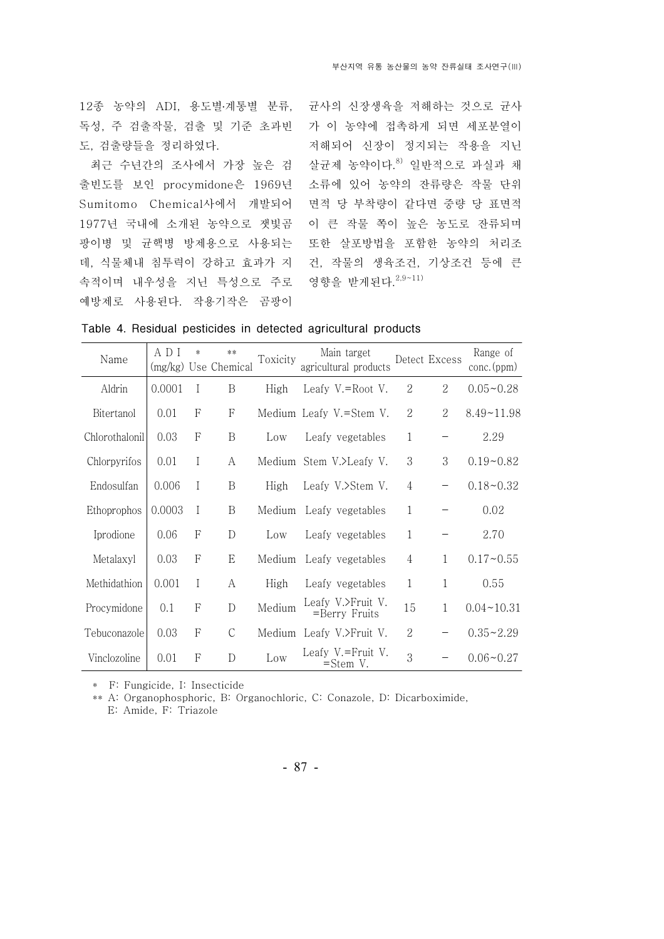12종 농약의 ADI, 용도별·계통별 분류, 균사의 신장생육을 저해하는 것으로 균사 독성, 주 검출작물, 검출 및 기준 초과빈 도, 검출량들을 정리하였다.

최근 수년간의 조사에서 가장 높은 검 출빈도를 보인 procymidone은 1969년 Sumitomo Chemical사에서 개발되어 1977년 국내에 소개된 농약으로 잿빛곰 팡이병 및 균핵병 방제용으로사용되는 데, 식물체내 침투력이 강하고 효과가 지 속적이며 내우성을 지닌 특성으로 주로 영향을 받게된다. 2,9~11) 예방제로 사용된다. 작용기작은 곰팡이

가 이 농약에 접촉하게 되면 세포분열이 저해되어 신장이 정지되는 작용을 지닌 살균제 농약이다.<sup>8)</sup> 일반적으로 과실과 채 소류에 있어 농약의 잔류량은 작물 단위 면적 당 부착량이 같다면 중량 당 표면적 이 큰 작물 쪽이 높은 농도로 잔류되며 또한 살포방법을 포함한 농약의 처리조 건, 작물의 생육조건, 기상조건 등에 큰

|  |  |  |  |  |  | Table 4. Residual pesticides in detected agricultural products |  |
|--|--|--|--|--|--|----------------------------------------------------------------|--|
|--|--|--|--|--|--|----------------------------------------------------------------|--|

| Name           | A D I<br>(mg/kg) | $\ast$         | $***$<br>Use Chemical | Toxicity | Main target<br>agricultural products |                | Detect Excess  | Range of<br>conc.(ppm) |
|----------------|------------------|----------------|-----------------------|----------|--------------------------------------|----------------|----------------|------------------------|
| Aldrin         | 0.0001           | I              | B                     | High     | Leafy V.=Root V.                     | 2              | $\mathcal{L}$  | $0.05 - 0.28$          |
| Bitertanol     | 0.01             | F              | F                     |          | Medium Leafy V.=Stem V.              | 2              | $\overline{2}$ | $8.49 - 11.98$         |
| Chlorothalonil | 0.03             | $\mathsf{F}$   | $\overline{B}$        | Low      | Leafy vegetables                     | $\mathbf{1}$   | —              | 2.29                   |
| Chlorpyrifos   | 0.01             | I              | A                     | Medium   | Stem V.>Leafy V.                     | 3              | 3              | $0.19 - 0.82$          |
| Endosulfan     | 0.006            | I              | B                     | High     | Leafy V.>Stem V.                     | $\overline{4}$ | -              | $0.18 - 0.32$          |
| Ethoprophos    | 0.0003           | I              | B                     | Medium   | Leafy vegetables                     | $\mathbf{1}$   |                | 0.02                   |
| Iprodione      | 0.06             | F              | D                     | Low      | Leafy vegetables                     | $\mathbf{1}$   |                | 2.70                   |
| Metalaxyl      | 0.03             | $\mathsf{F}$   | E                     | Medium   | Leafy vegetables                     | $\overline{4}$ | $\mathbf{1}$   | $0.17 - 0.55$          |
| Methidathion   | 0.001            | I              | A                     | High     | Leafy vegetables                     | 1              | 1              | 0.55                   |
| Procymidone    | 0.1              | F              | D                     | Medium   | Leafy V.>Fruit V.<br>=Berry Fruits   | 15             | 1              | $0.04 - 10.31$         |
| Tebuconazole   | 0.03             | $\overline{F}$ | $\mathcal{C}$         | Medium   | Leafy V.>Fruit V.                    | $\overline{2}$ |                | $0.35 - 2.29$          |
| Vinclozoline   | 0.01             | F              | D                     | Low      | Leafy V.=Fruit V.<br>$=$ Stem V.     | 3              |                | $0.06 - 0.27$          |

\* F: Fungicide, I: Insecticide

\*\* A: Organophosphoric, B: Organochloric, C: Conazole, D: Dicarboximide,

E: Amide, F: Triazole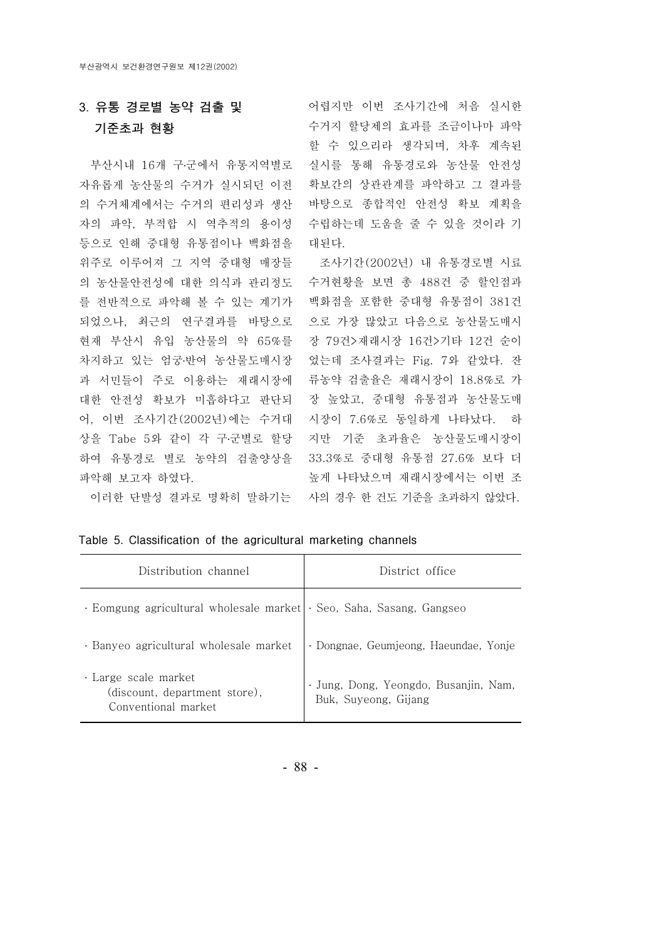# 3. 유통 경로별 농약 검출 및 기준초과 현황

자유롭게 농산물의 수거가 실시되던 이전 확보간의 상관관계를 파악하고 그 결과를 의 수거체계에서는 수거의 편리성과 생산 바탕으로종합적인 안전성 확보 계획을 자의 파악, 부적합 시 역추적의 용이성 등으로 인해 중대형 유통점이나 백화점을 위주로 이루어져 그 지역 중대형 매장들 의 농산물안전성에 대한 의식과 관리정도 수거현황을 보면 총 488건 중 할인점과 를 전반적으로 파악해 볼 수 있는 계기가 백화점을 포함한 중대형 유통점이 381건 되었으나, 최근의 연구결과를 바탕으로 으로 가장 많았고 다음으로 농산물도매시 현재 부산시 유입 농산물의 약 65%를 장 79건>재래시장 16건>기타 12건 순이 차지하고 있는 엄궁·반여 농산물도매시장 있는데 조사결과는 Fig. 7와 같았다. 잔 과 서민들이 주로 이용하는 재래시장에 류농약 검출율은 재래시장이 18.8%로 가 대한 안전성 확보가 미흡하다고 판단되 장 높았고, 중대형 유통점과 농산물도매 어, 이번 조사기간(2002년)에는 수거대 시장이 7.6%로 동일하게 나타났다. 하 상을 Tabe 5와 같이 각 구·군별로 할당 지만 기준 초과율은 농산물도매시장이 하여 유통경로 별로 농약의 검출양상을 33.3%로 중대형 유통점 27.6% 보다 더 파악해 보고자 하였다.

부산시내 16개 구·군에서 유통지역별로 실시를 통해 유통경로와 농산물 안전성 어렵지만 이번 조사기간에 처음 실시한 수거지 할당제의 효과를 조금이나마 파악 할 수 있으리라 생각되며, 차후 계속된 수립하는데 도움을 줄 수 있을 것이라 기 대된다.

이러한 단발성 결과로 명확히 말하기는 사의 경우 한 건도 기준을 초과하지 않았다. 조사기간(2002년) 내 유통경로별 시료 높게 나타났으며 재래시장에서는 이번 조

| Distribution channel                                                               | District office                                               |
|------------------------------------------------------------------------------------|---------------------------------------------------------------|
| · Eomgung agricultural wholesale market   · Seo, Saha, Sasang, Gangseo             |                                                               |
| · Banyeo agricultural wholesale market                                             | · Dongnae, Geumjeong, Haeundae, Yonje                         |
| $\cdot$ Large scale market<br>(discount, department store),<br>Conventional market | · Jung, Dong, Yeongdo, Busanjin, Nam,<br>Buk, Suyeong, Gijang |

| Table 5. Classification of the agricultural marketing channels |  |  |  |  |  |  |
|----------------------------------------------------------------|--|--|--|--|--|--|
|----------------------------------------------------------------|--|--|--|--|--|--|

- 88 -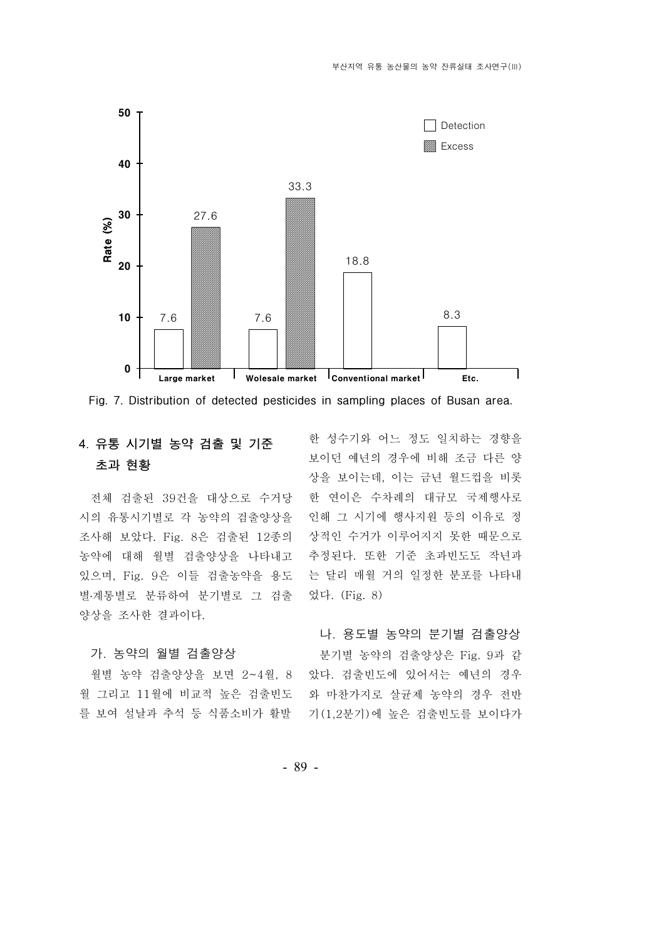



# 4. 유통 시기별 농약 검출 및 기준 초과 현황

전체 검출된 39건을 대상으로 수거당 시의 유통시기별로 각 농약의 검출양상을 조사해 보았다. Fig. 8은 검출된 12종의 농약에 대해 월별 검출양상을 나타내고 있으며, Fig. 9은 이들 검출농약을 용도 별·계통별로 분류하여 분기별로 그 검출 양상을 조사한 결과이다.

#### 가. 농약의 월별 검출양상

월별 농약 검출양상을 보면  $2 - 4$  월,  $8$ 월 그리고 11월에 비교적 높은 검출빈도 를 보여 설날과 추석 등 식품소비가 활발

한 성수기와 어느 정도 일치하는 경향을 보이던 예년의 경우에 비해 조금 다른 양 상을 보이는데, 이는 금년 월드컵을 비롯 한 연이은 수차례의 대규모 국제행사로 인해 그 시기에 행사지원 등의 이유로 정 상적인 수거가 이루어지지 못한 때문으로 추정된다. 또한 기준 초과빈도도 작년과 는 달리 매월 거의 일정한 분포를 나타내 었다. (Fig. 8)

#### 나, 용도별 농약의 분기별 검출양상

분기별 농약의 검출양상은 Fig. 9과 같 았다. 검출빈도에 있어서는 예년의 경우 와 마찬가지로 살균제 농약의 경우 전반 기 (1,2분기)에 높은 검출빈도를 보이다가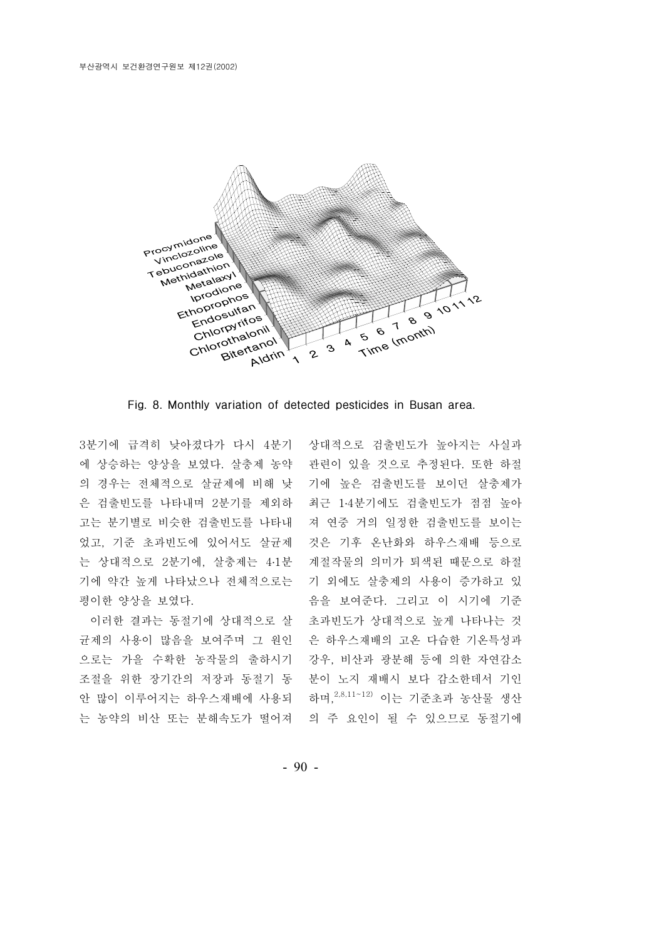

Fig. 8. Monthly variation of detected pesticides in Busan area.

고는 분기별로 비슷한 검출빈도를 나타내 었고, 기준 초과빈도에 있어서도 살균제 는 상대적으로 2분기에, 살충제는 4·1분 평이한 양상을 보였다.

는 농약의 비산 또는 분해속도가 떨어져 \_ 의 주 요인이 될 수 있으므로 동절기에

3분기에 급격히 낮아졌다가 다시 4분기 상대적으로 검출빈도가 높아지는 사실과 에 상승하는 양상을 보였다. 살충제 농약 관련이 있을 것으로 추정된다. 또한 하절 의 경우는 전체적으로 살균제에 비해 낮 기에 높은 검출빈도를 보이던 살충제가 은 검출빈도를 나타내며 2분기를 제외하 최근 1·4분기에도 검출빈도가 점점 높아 기에 약간 높게 나타났으나 전체적으로는 기 외에도 살충제의 사용이 증가하고 있 이러한 결과는 동절기에 상대적으로 살 초과빈도가 상대적으로 높게 나타나는 것 균제의 사용이 많음을 보여주며 그 원인 은 하우스재배의 고온 다습한 기온특성과 으로는 가을 수확한 농작물의 출하시기 강우, 비산과 광분해 등에 의한 자연감소 조절을 위한 장기간의 저장과 동절기 동 분이 노지 재배시 보다 감소한데서 기인 안 많이 이루어지는 하우스재배에 사용되 하며, 2,8,11~12) 이는 기준초과 농산물 생산 져 연중 거의 일정한 검출빈도를 보이는 것은 기후 온난화와 하우스재배 등으로 계절작물의 의미가 퇴색된 때문으로 하절 음을 보여준다. 그리고 이 시기에 기준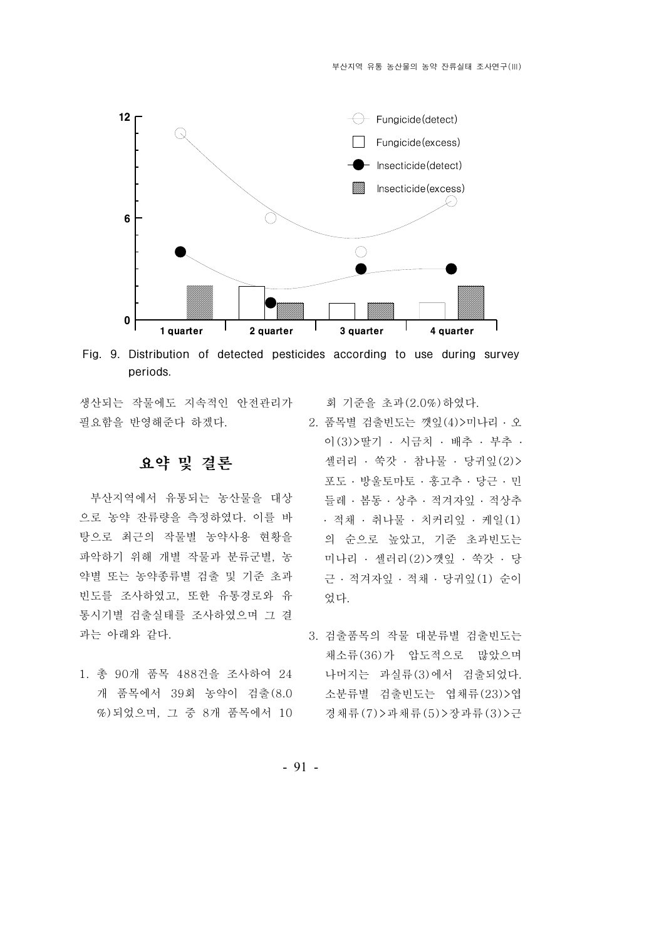

Fig. 9. Distribution of detected pesticides according to use during survey periods.

생산되는 작물에도 지속적인 안전관리가 필요함을 반영해준다 하겠다.

# 요약 및 결론

부산지역에서 유통되는 농산물을 대상 으로 농약 잔류량을 측정하였다. 이를 바 탕으로최근의 작물별 농약사용 현황을 파악하기 위해 개별 작물과 분류군별, 농 약별 또는 농약종류별 검출 및 기준 초과 빈도를 조사하였고, 또한 유통경로와 유 통시기별 검출실태를 조사하였으며 그 결 과는 아래와 같다.

1. 총 90개 품목 488건을 조사하여 24 개 품목에서 39회 농약이 검출(8.0 %) 되었으며, 그 중 8개 품목에서 10 회 기준을 초과 $(2.0\%)$  하였다.

- $2.$  품목별 검출빈도는 깻잎 $(4)$ >미나리  $\cdot$  오 이(3)>딸기 · 시금치 · 배추 · 부추 · 셀러리  $\cdot$  쑥갓  $\cdot$  참나물  $\cdot$  당귀잎 $(2)$ > 포도 · 방울토마토 · 홍고추 · 당근 · 민 들레 · 봄동 · 상추 · 적겨자잎 · 적상추 · 적채 · 취나물 · 치커리잎 · 케일(1) 의 순으로 높았고, 기준 초과 빈도는 미나리 · 셀러리(2)>깻잎 · 쑥갓 · 당 근 · 적겨자잎 · 적채 · 당귀잎(1) 순이 었다.
- 3. 검출품목의 작물 대분류별 검출빈도는 채소류 (36) 가 압도적으로 많았으며 나머지는 과실류(3)에서 검출되었다. 소분류별 검출빈도는 엽채류 (23) > 엽 경채류 (7) > 과채류 (5) > 장과류 (3) > 근

- 91 -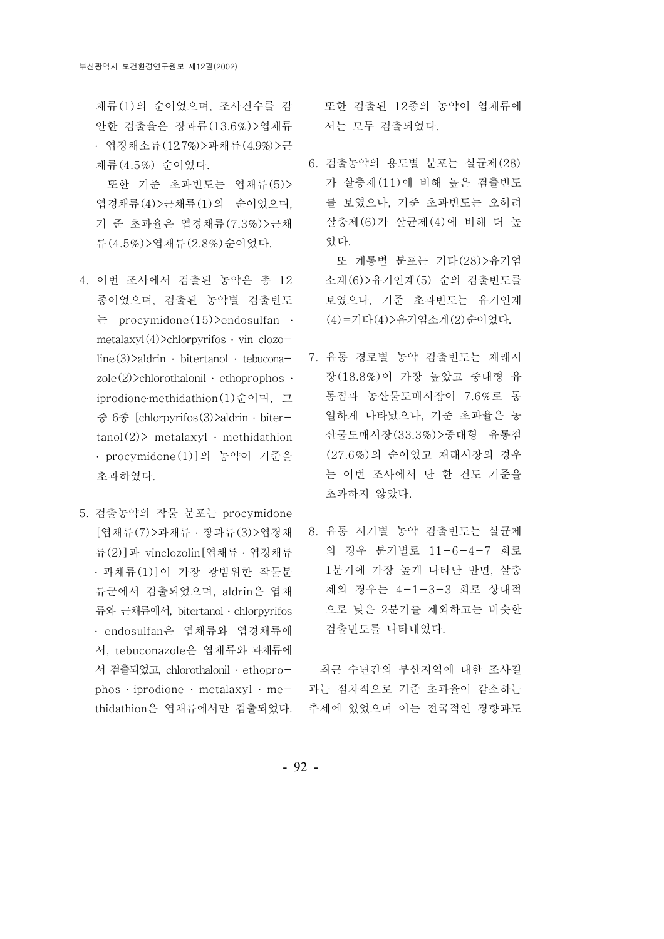채류 (1)의 순이었으며, 조사건수를 감 안한 검출율은 장과류 (13.6%)>엽채류 · 엽경채소류 (12.7%) > 과채류 (4.9%) > 근 체류 (4.5%) 순이었다.

또한 기준 초과빈도는 엽채류(5)> 엽경채류 (4) > 근채류 (1) 의 순이었으며, 기 준 초과율은 엽경채류 (7.3%) > 근채 류 (4.5%) > 엽채류 (2.8%) 순이었다.

- 4. 이번 조사에서 검출된 농약은 총 12 종이었으며, 검출된 농약별 검출빈도 는 procymidone(15)>endosulfan ․ metalaxyl $(4)$ >chlorpyrifos · vin clozo $line(3)$ >aldrin · bitertanol · tebucona $zole(2)$ >chlorothalonil · etho prophos · iprodione methidathion  $(1)$  수이며, 그 중 6종 [chlorpyrifos(3)>aldrin · biter $tanol(2)$  metalaxyl  $\cdot$  methidathion ․ procymidone(1)]의 농약이 기준을 초과하였다.
- 5. 검출농약의 작물 분포는 procymidone [엽채류(7)>과채류 · 장과류(3)>엽경채 류 (2)] 과 vinclozolin [엽채류 · 엽경채류 · 과채류 (1) ] 이 가장 광범위한 작물분 류군에서 검출되었으며, aldrin은 엽채 류와 근채류에서, bitertanol ․ chlorpyrifos ․ endosulfan은 엽채류와 엽경채류에 서, tebuconazole은 엽채류와 과채류에 서 검출되었고, chlorothalonil · ethoprophos  $\cdot$  iprodione  $\cdot$  metalaxyl  $\cdot$  methidathion은 엽채류에서만 검출되었다.

또한 검출된 12종의 농약이 엽채류에 서는 모두 검출되었다.

6. 검출농약의 용도별 분포는 살균제(28) 가 살충제 (11)에 비해 높은 검출빈도 를 보였으나, 기준 초과빈도는 오히려 살충제 (6) 가 살규제 (4) 에 비해 더 높 았다.

또 계통별 분포는 기타(28)>유기염 소계 (6) > 유기인계 (5) 순의 검출 빈도를 보였으나, 기준 초과빈도는 유기인계 (4) = 기타 (4) > 유기염소계 (2) 순이었다.

- 7. 유통 경로별 농약 검출빈도는 재래시 장 (18.8%)이 가장 높았고 중대형 유 통점과 농산물도매시장이 7.6%로 동 일하게 나타났으나, 기준 초과율은 농 산물도매시장 (33.3%) > 중대형 유통점 (27.6%)의 순이었고 재래시장의 경우 는 이번 조사에서 단 한 건도 기준을 초과하지 않았다.
- 8. 유통 시기별 농약 검출빈도는 살균제 의 경우 분기별로 11-6-4-7 회로 1분기에 가장 높게 나타난 반면, 살충 제의 경우는 4-1-3-3 회로 상대적 으로 낮은 2분기를 제외하고는 비슷한 검출빈도를 나타내었다.

최근 수년간의 부산지역에 대한 조사결 과는 점차적으로기준 초과율이 감소하는 추세에 있었으며 이는 전국적인 경향과도